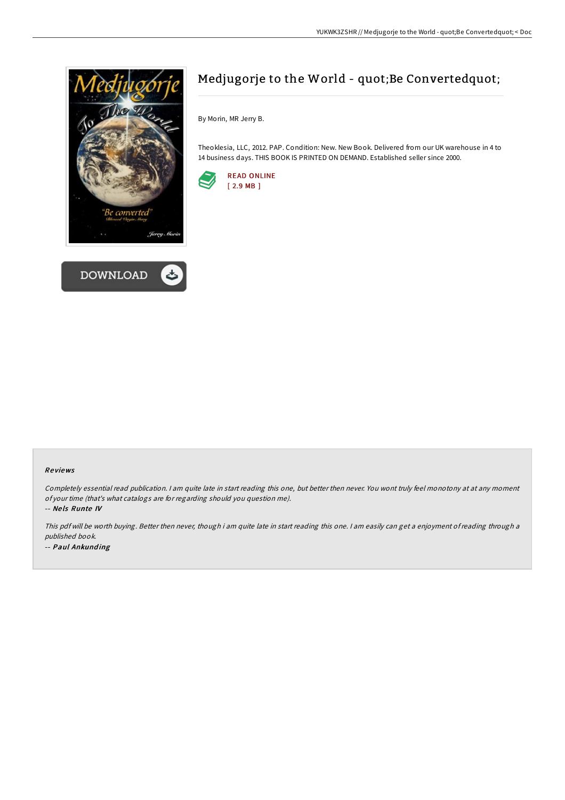



## Medjugorje to the World - quot;Be Convertedquot;

By Morin, MR Jerry B.

Theoklesia, LLC, 2012. PAP. Condition: New. New Book. Delivered from our UK warehouse in 4 to 14 business days. THIS BOOK IS PRINTED ON DEMAND. Established seller since 2000.



## Re views

Completely essential read publication. <sup>I</sup> am quite late in start reading this one, but better then never. You wont truly feel monotony at at any moment of your time (that's what catalogs are for regarding should you question me).

-- Ne ls Runte IV

This pdf will be worth buying. Better then never, though i am quite late in start reading this one. <sup>I</sup> am easily can get <sup>a</sup> enjoyment of reading through <sup>a</sup> published book. -- Paul Ankunding